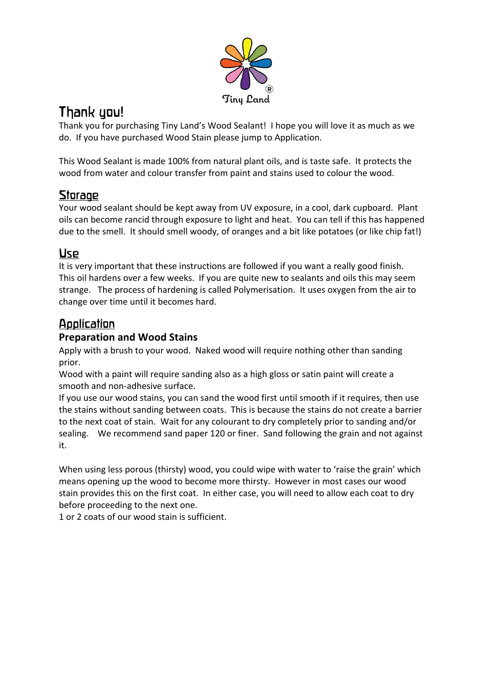

# Thank you!

Thank you for purchasing Tiny Land's Wood Sealant! I hope you will love it as much as we do. If you have purchased Wood Stain please jump to Application.

This Wood Sealant is made 100% from natural plant oils, and is taste safe. It protects the wood from water and colour transfer from paint and stains used to colour the wood.

# Storage

Your wood sealant should be kept away from UV exposure, in a cool, dark cupboard. Plant oils can become rancid through exposure to light and heat. You can tell if this has happened due to the smell. It should smell woody, of oranges and a bit like potatoes (or like chip fat!)

### Use

It is very important that these instructions are followed if you want a really good finish. This oil hardens over a few weeks. If you are quite new to sealants and oils this may seem strange. The process of hardening is called Polymerisation. It uses oxygen from the air to change over time until it becomes hard.

## Application

### **Preparation and Wood Stains**

Apply with a brush to your wood. Naked wood will require nothing other than sanding prior.

Wood with a paint will require sanding also as a high gloss or satin paint will create a smooth and non-adhesive surface.

If you use our wood stains, you can sand the wood first until smooth if it requires, then use the stains without sanding between coats. This is because the stains do not create a barrier to the next coat of stain. Wait for any colourant to dry completely prior to sanding and/or sealing. We recommend sand paper 120 or finer. Sand following the grain and not against it.

When using less porous (thirsty) wood, you could wipe with water to 'raise the grain' which means opening up the wood to become more thirsty. However in most cases our wood stain provides this on the first coat. In either case, you will need to allow each coat to dry before proceeding to the next one.

1 or 2 coats of our wood stain is sufficient.